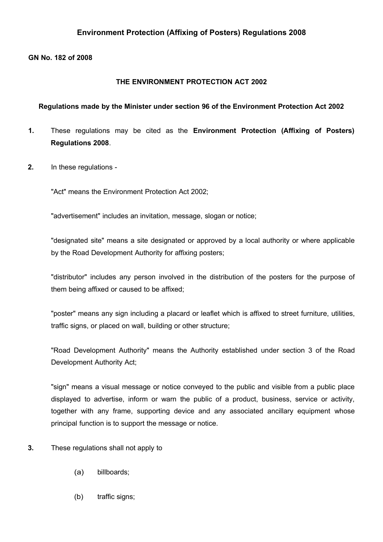## **Environment Protection (Affixing of Posters) Regulations 2008**

## **GN No. 182 of 2008**

## **THE ENVIRONMENT PROTECTION ACT 2002**

## **Regulations made by the Minister under section 96 of the Environment Protection Act 2002**

- **1.** These regulations may be cited as the **Environment Protection (Affixing of Posters) Regulations 2008**.
- **2.** In these regulations -

"Act" means the Environment Protection Act 2002;

"advertisement" includes an invitation, message, slogan or notice;

"designated site" means a site designated or approved by a local authority or where applicable by the Road Development Authority for affixing posters;

"distributor" includes any person involved in the distribution of the posters for the purpose of them being affixed or caused to be affixed;

"poster" means any sign including a placard or leaflet which is affixed to street furniture, utilities, traffic signs, or placed on wall, building or other structure;

"Road Development Authority" means the Authority established under section 3 of the Road Development Authority Act;

"sign" means a visual message or notice conveyed to the public and visible from a public place displayed to advertise, inform or warn the public of a product, business, service or activity, together with any frame, supporting device and any associated ancillary equipment whose principal function is to support the message or notice.

- **3.** These regulations shall not apply to
	- (a) billboards;
	- (b) traffic signs;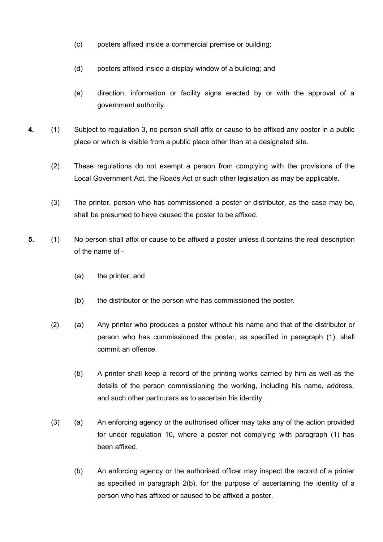- (c) posters affixed inside a commercial premise or building;
- (d) posters affixed inside a display window of a building; and
- (e) direction, information or facility signs erected by or with the approval of a government authority.
- **4.** (1) Subject to regulation 3, no person shall affix or cause to be affixed any poster in a public place or which is visible from a public place other than at a designated site.
	- (2) These regulations do not exempt a person from complying with the provisions of the Local Government Act, the Roads Act or such other legislation as may be applicable.
	- (3) The printer, person who has commissioned a poster or distributor, as the case may be, shall be presumed to have caused the poster to be affixed.
- **5.** (1) No person shall affix or cause to be affixed a poster unless it contains the real description of the name of -
	- (a) the printer; and
	- (b) the distributor or the person who has commissioned the poster.
	- (2) (a) Any printer who produces a poster without his name and that of the distributor or person who has commissioned the poster, as specified in paragraph (1), shall commit an offence.
		- (b) A printer shall keep a record of the printing works carried by him as well as the details of the person commissioning the working, including his name, address, and such other particulars as to ascertain his identity.
	- (3) (a) An enforcing agency or the authorised officer may take any of the action provided for under regulation 10, where a poster not complying with paragraph (1) has been affixed.
		- (b) An enforcing agency or the authorised officer may inspect the record of a printer as specified in paragraph 2(b), for the purpose of ascertaining the identity of a person who has affixed or caused to be affixed a poster.